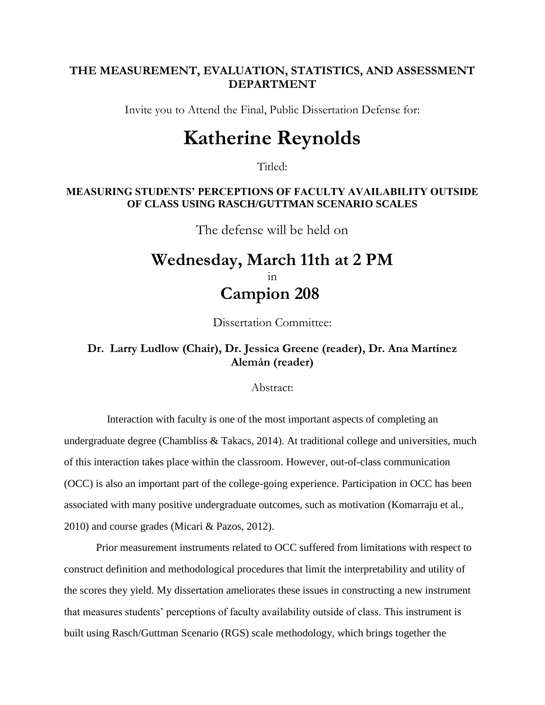### **THE MEASUREMENT, EVALUATION, STATISTICS, AND ASSESSMENT DEPARTMENT**

Invite you to Attend the Final, Public Dissertation Defense for:

# **Katherine Reynolds**

Titled:

#### **MEASURING STUDENTS' PERCEPTIONS OF FACULTY AVAILABILITY OUTSIDE OF CLASS USING RASCH/GUTTMAN SCENARIO SCALES**

The defense will be held on

# **Wednesday, March 11th at 2 PM** in **Campion 208**

Dissertation Committee:

## **Dr. Larry Ludlow (Chair), Dr. Jessica Greene (reader), Dr. Ana Martínez Alemán (reader)**

Abstract:

 Interaction with faculty is one of the most important aspects of completing an undergraduate degree (Chambliss & Takacs, 2014). At traditional college and universities, much of this interaction takes place within the classroom. However, out-of-class communication (OCC) is also an important part of the college-going experience. Participation in OCC has been associated with many positive undergraduate outcomes, such as motivation (Komarraju et al., 2010) and course grades (Micari & Pazos, 2012).

 Prior measurement instruments related to OCC suffered from limitations with respect to construct definition and methodological procedures that limit the interpretability and utility of the scores they yield. My dissertation ameliorates these issues in constructing a new instrument that measures students' perceptions of faculty availability outside of class. This instrument is built using Rasch/Guttman Scenario (RGS) scale methodology, which brings together the